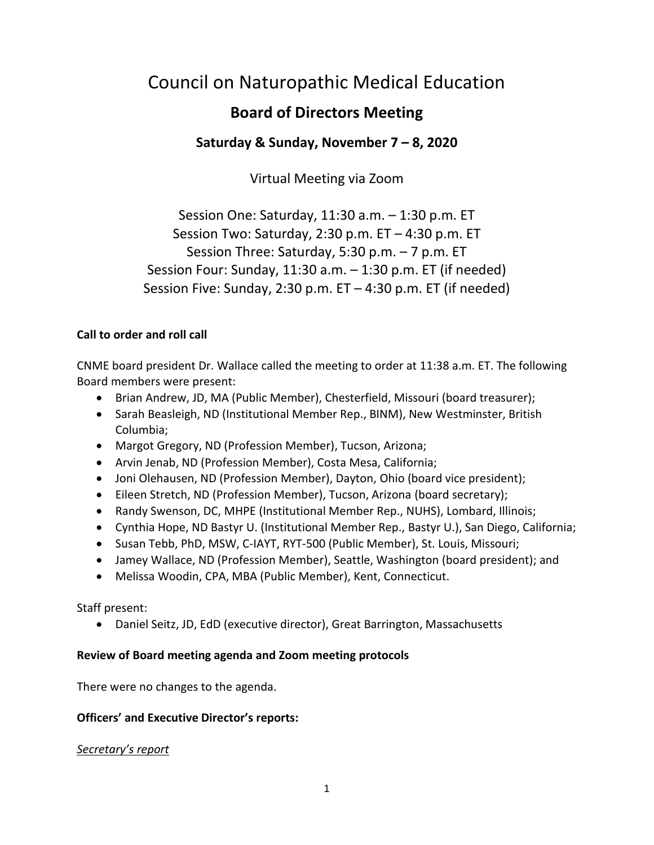# Council on Naturopathic Medical Education

## **Board of Directors Meeting**

## **Saturday & Sunday, November 7 – 8, 2020**

Virtual Meeting via Zoom

Session One: Saturday, 11:30 a.m. – 1:30 p.m. ET Session Two: Saturday, 2:30 p.m. ET – 4:30 p.m. ET Session Three: Saturday, 5:30 p.m. – 7 p.m. ET Session Four: Sunday, 11:30 a.m. – 1:30 p.m. ET (if needed) Session Five: Sunday, 2:30 p.m. ET – 4:30 p.m. ET (if needed)

## **Call to order and roll call**

CNME board president Dr. Wallace called the meeting to order at 11:38 a.m. ET. The following Board members were present:

- Brian Andrew, JD, MA (Public Member), Chesterfield, Missouri (board treasurer);
- Sarah Beasleigh, ND (Institutional Member Rep., BINM), New Westminster, British Columbia;
- Margot Gregory, ND (Profession Member), Tucson, Arizona;
- Arvin Jenab, ND (Profession Member), Costa Mesa, California;
- Joni Olehausen, ND (Profession Member), Dayton, Ohio (board vice president);
- Eileen Stretch, ND (Profession Member), Tucson, Arizona (board secretary);
- Randy Swenson, DC, MHPE (Institutional Member Rep., NUHS), Lombard, Illinois;
- Cynthia Hope, ND Bastyr U. (Institutional Member Rep., Bastyr U.), San Diego, California;
- Susan Tebb, PhD, MSW, C-IAYT, RYT-500 (Public Member), St. Louis, Missouri;
- Jamey Wallace, ND (Profession Member), Seattle, Washington (board president); and
- Melissa Woodin, CPA, MBA (Public Member), Kent, Connecticut.

Staff present:

• Daniel Seitz, JD, EdD (executive director), Great Barrington, Massachusetts

#### **Review of Board meeting agenda and Zoom meeting protocols**

There were no changes to the agenda.

#### **Officers' and Executive Director's reports:**

*Secretary's report*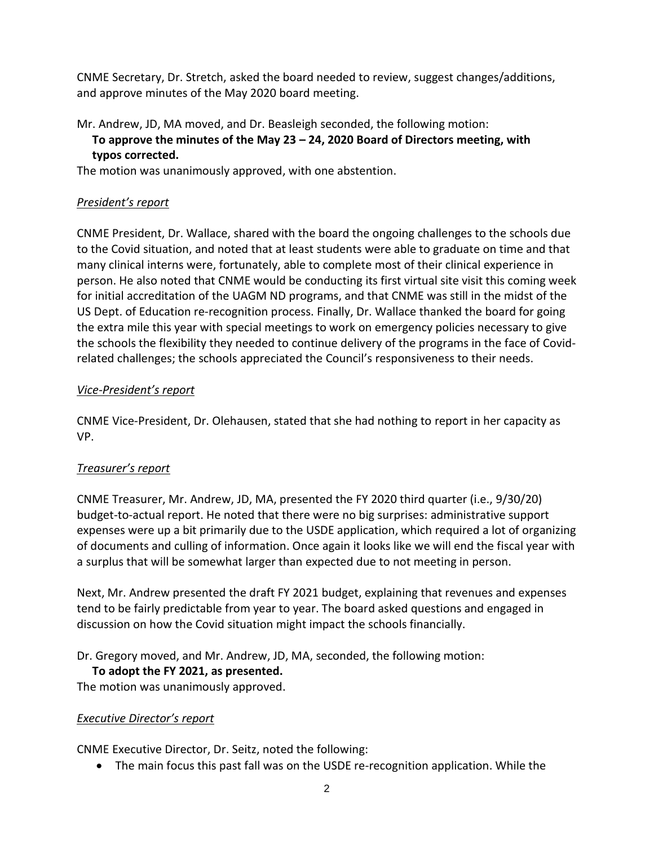CNME Secretary, Dr. Stretch, asked the board needed to review, suggest changes/additions, and approve minutes of the May 2020 board meeting.

Mr. Andrew, JD, MA moved, and Dr. Beasleigh seconded, the following motion:

## **To approve the minutes of the May 23 – 24, 2020 Board of Directors meeting, with typos corrected.**

The motion was unanimously approved, with one abstention.

### *President's report*

CNME President, Dr. Wallace, shared with the board the ongoing challenges to the schools due to the Covid situation, and noted that at least students were able to graduate on time and that many clinical interns were, fortunately, able to complete most of their clinical experience in person. He also noted that CNME would be conducting its first virtual site visit this coming week for initial accreditation of the UAGM ND programs, and that CNME was still in the midst of the US Dept. of Education re-recognition process. Finally, Dr. Wallace thanked the board for going the extra mile this year with special meetings to work on emergency policies necessary to give the schools the flexibility they needed to continue delivery of the programs in the face of Covidrelated challenges; the schools appreciated the Council's responsiveness to their needs.

### *Vice-President's report*

CNME Vice-President, Dr. Olehausen, stated that she had nothing to report in her capacity as VP.

## *Treasurer's report*

CNME Treasurer, Mr. Andrew, JD, MA, presented the FY 2020 third quarter (i.e., 9/30/20) budget-to-actual report. He noted that there were no big surprises: administrative support expenses were up a bit primarily due to the USDE application, which required a lot of organizing of documents and culling of information. Once again it looks like we will end the fiscal year with a surplus that will be somewhat larger than expected due to not meeting in person.

Next, Mr. Andrew presented the draft FY 2021 budget, explaining that revenues and expenses tend to be fairly predictable from year to year. The board asked questions and engaged in discussion on how the Covid situation might impact the schools financially.

Dr. Gregory moved, and Mr. Andrew, JD, MA, seconded, the following motion:

## **To adopt the FY 2021, as presented.**

The motion was unanimously approved.

## *Executive Director's report*

CNME Executive Director, Dr. Seitz, noted the following:

• The main focus this past fall was on the USDE re-recognition application. While the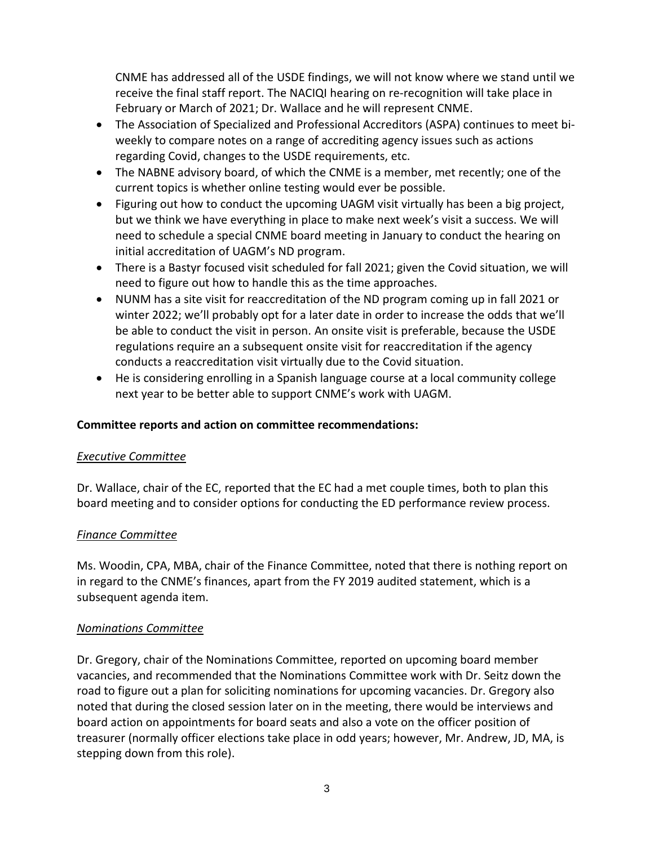CNME has addressed all of the USDE findings, we will not know where we stand until we receive the final staff report. The NACIQI hearing on re-recognition will take place in February or March of 2021; Dr. Wallace and he will represent CNME.

- The Association of Specialized and Professional Accreditors (ASPA) continues to meet biweekly to compare notes on a range of accrediting agency issues such as actions regarding Covid, changes to the USDE requirements, etc.
- The NABNE advisory board, of which the CNME is a member, met recently; one of the current topics is whether online testing would ever be possible.
- Figuring out how to conduct the upcoming UAGM visit virtually has been a big project, but we think we have everything in place to make next week's visit a success. We will need to schedule a special CNME board meeting in January to conduct the hearing on initial accreditation of UAGM's ND program.
- There is a Bastyr focused visit scheduled for fall 2021; given the Covid situation, we will need to figure out how to handle this as the time approaches.
- NUNM has a site visit for reaccreditation of the ND program coming up in fall 2021 or winter 2022; we'll probably opt for a later date in order to increase the odds that we'll be able to conduct the visit in person. An onsite visit is preferable, because the USDE regulations require an a subsequent onsite visit for reaccreditation if the agency conducts a reaccreditation visit virtually due to the Covid situation.
- He is considering enrolling in a Spanish language course at a local community college next year to be better able to support CNME's work with UAGM.

#### **Committee reports and action on committee recommendations:**

#### *Executive Committee*

Dr. Wallace, chair of the EC, reported that the EC had a met couple times, both to plan this board meeting and to consider options for conducting the ED performance review process.

#### *Finance Committee*

Ms. Woodin, CPA, MBA, chair of the Finance Committee, noted that there is nothing report on in regard to the CNME's finances, apart from the FY 2019 audited statement, which is a subsequent agenda item.

#### *Nominations Committee*

Dr. Gregory, chair of the Nominations Committee, reported on upcoming board member vacancies, and recommended that the Nominations Committee work with Dr. Seitz down the road to figure out a plan for soliciting nominations for upcoming vacancies. Dr. Gregory also noted that during the closed session later on in the meeting, there would be interviews and board action on appointments for board seats and also a vote on the officer position of treasurer (normally officer elections take place in odd years; however, Mr. Andrew, JD, MA, is stepping down from this role).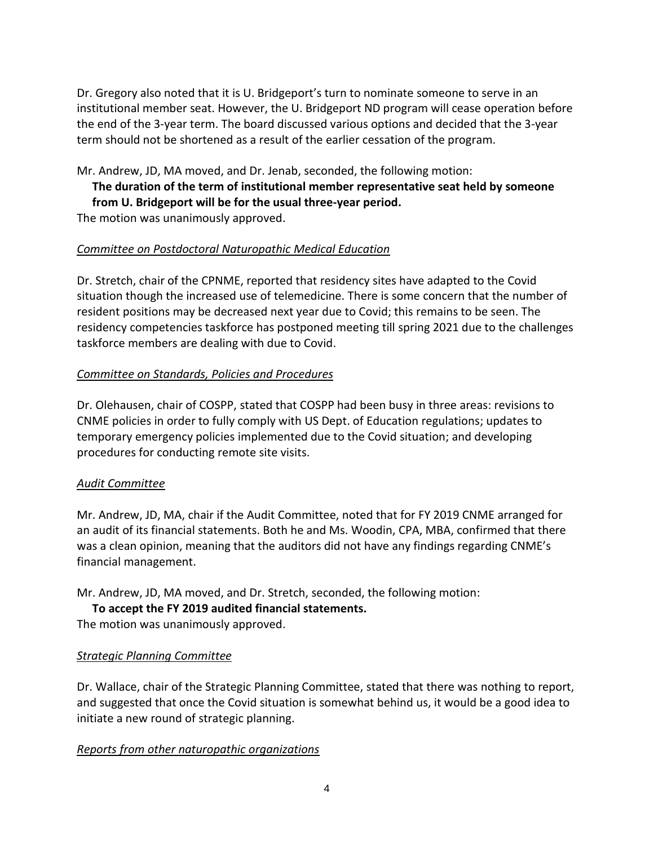Dr. Gregory also noted that it is U. Bridgeport's turn to nominate someone to serve in an institutional member seat. However, the U. Bridgeport ND program will cease operation before the end of the 3-year term. The board discussed various options and decided that the 3-year term should not be shortened as a result of the earlier cessation of the program.

Mr. Andrew, JD, MA moved, and Dr. Jenab, seconded, the following motion:

**The duration of the term of institutional member representative seat held by someone from U. Bridgeport will be for the usual three-year period.** 

The motion was unanimously approved.

#### *Committee on Postdoctoral Naturopathic Medical Education*

Dr. Stretch, chair of the CPNME, reported that residency sites have adapted to the Covid situation though the increased use of telemedicine. There is some concern that the number of resident positions may be decreased next year due to Covid; this remains to be seen. The residency competencies taskforce has postponed meeting till spring 2021 due to the challenges taskforce members are dealing with due to Covid.

#### *Committee on Standards, Policies and Procedures*

Dr. Olehausen, chair of COSPP, stated that COSPP had been busy in three areas: revisions to CNME policies in order to fully comply with US Dept. of Education regulations; updates to temporary emergency policies implemented due to the Covid situation; and developing procedures for conducting remote site visits.

#### *Audit Committee*

Mr. Andrew, JD, MA, chair if the Audit Committee, noted that for FY 2019 CNME arranged for an audit of its financial statements. Both he and Ms. Woodin, CPA, MBA, confirmed that there was a clean opinion, meaning that the auditors did not have any findings regarding CNME's financial management.

Mr. Andrew, JD, MA moved, and Dr. Stretch, seconded, the following motion:

#### **To accept the FY 2019 audited financial statements.**

The motion was unanimously approved.

#### *Strategic Planning Committee*

Dr. Wallace, chair of the Strategic Planning Committee, stated that there was nothing to report, and suggested that once the Covid situation is somewhat behind us, it would be a good idea to initiate a new round of strategic planning.

#### *Reports from other naturopathic organizations*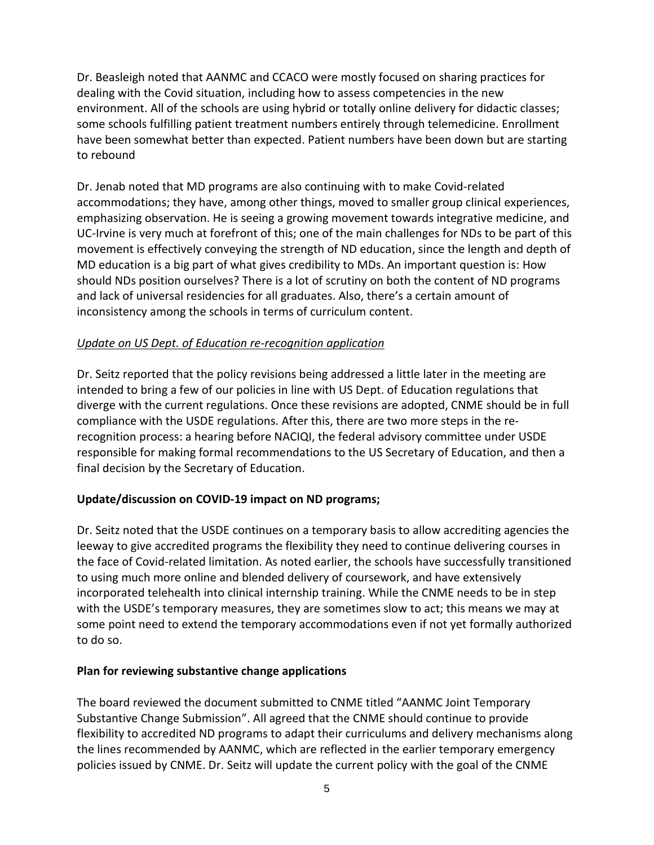Dr. Beasleigh noted that AANMC and CCACO were mostly focused on sharing practices for dealing with the Covid situation, including how to assess competencies in the new environment. All of the schools are using hybrid or totally online delivery for didactic classes; some schools fulfilling patient treatment numbers entirely through telemedicine. Enrollment have been somewhat better than expected. Patient numbers have been down but are starting to rebound

Dr. Jenab noted that MD programs are also continuing with to make Covid-related accommodations; they have, among other things, moved to smaller group clinical experiences, emphasizing observation. He is seeing a growing movement towards integrative medicine, and UC-Irvine is very much at forefront of this; one of the main challenges for NDs to be part of this movement is effectively conveying the strength of ND education, since the length and depth of MD education is a big part of what gives credibility to MDs. An important question is: How should NDs position ourselves? There is a lot of scrutiny on both the content of ND programs and lack of universal residencies for all graduates. Also, there's a certain amount of inconsistency among the schools in terms of curriculum content.

#### *Update on US Dept. of Education re-recognition application*

Dr. Seitz reported that the policy revisions being addressed a little later in the meeting are intended to bring a few of our policies in line with US Dept. of Education regulations that diverge with the current regulations. Once these revisions are adopted, CNME should be in full compliance with the USDE regulations. After this, there are two more steps in the rerecognition process: a hearing before NACIQI, the federal advisory committee under USDE responsible for making formal recommendations to the US Secretary of Education, and then a final decision by the Secretary of Education.

#### **Update/discussion on COVID-19 impact on ND programs;**

Dr. Seitz noted that the USDE continues on a temporary basis to allow accrediting agencies the leeway to give accredited programs the flexibility they need to continue delivering courses in the face of Covid-related limitation. As noted earlier, the schools have successfully transitioned to using much more online and blended delivery of coursework, and have extensively incorporated telehealth into clinical internship training. While the CNME needs to be in step with the USDE's temporary measures, they are sometimes slow to act; this means we may at some point need to extend the temporary accommodations even if not yet formally authorized to do so.

#### **Plan for reviewing substantive change applications**

The board reviewed the document submitted to CNME titled "AANMC Joint Temporary Substantive Change Submission". All agreed that the CNME should continue to provide flexibility to accredited ND programs to adapt their curriculums and delivery mechanisms along the lines recommended by AANMC, which are reflected in the earlier temporary emergency policies issued by CNME. Dr. Seitz will update the current policy with the goal of the CNME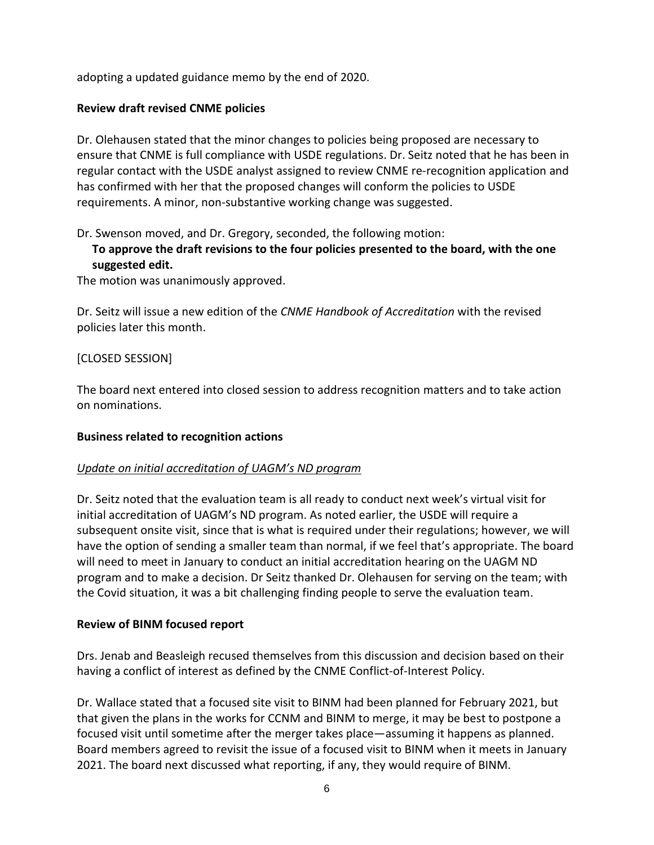adopting a updated guidance memo by the end of 2020.

#### **Review draft revised CNME policies**

Dr. Olehausen stated that the minor changes to policies being proposed are necessary to ensure that CNME is full compliance with USDE regulations. Dr. Seitz noted that he has been in regular contact with the USDE analyst assigned to review CNME re-recognition application and has confirmed with her that the proposed changes will conform the policies to USDE requirements. A minor, non-substantive working change was suggested.

Dr. Swenson moved, and Dr. Gregory, seconded, the following motion:

**To approve the draft revisions to the four policies presented to the board, with the one suggested edit.** 

The motion was unanimously approved.

Dr. Seitz will issue a new edition of the *CNME Handbook of Accreditation* with the revised policies later this month.

#### [CLOSED SESSION]

The board next entered into closed session to address recognition matters and to take action on nominations.

#### **Business related to recognition actions**

#### *Update on initial accreditation of UAGM's ND program*

Dr. Seitz noted that the evaluation team is all ready to conduct next week's virtual visit for initial accreditation of UAGM's ND program. As noted earlier, the USDE will require a subsequent onsite visit, since that is what is required under their regulations; however, we will have the option of sending a smaller team than normal, if we feel that's appropriate. The board will need to meet in January to conduct an initial accreditation hearing on the UAGM ND program and to make a decision. Dr Seitz thanked Dr. Olehausen for serving on the team; with the Covid situation, it was a bit challenging finding people to serve the evaluation team.

#### **Review of BINM focused report**

Drs. Jenab and Beasleigh recused themselves from this discussion and decision based on their having a conflict of interest as defined by the CNME Conflict-of-Interest Policy.

Dr. Wallace stated that a focused site visit to BINM had been planned for February 2021, but that given the plans in the works for CCNM and BINM to merge, it may be best to postpone a focused visit until sometime after the merger takes place—assuming it happens as planned. Board members agreed to revisit the issue of a focused visit to BINM when it meets in January 2021. The board next discussed what reporting, if any, they would require of BINM.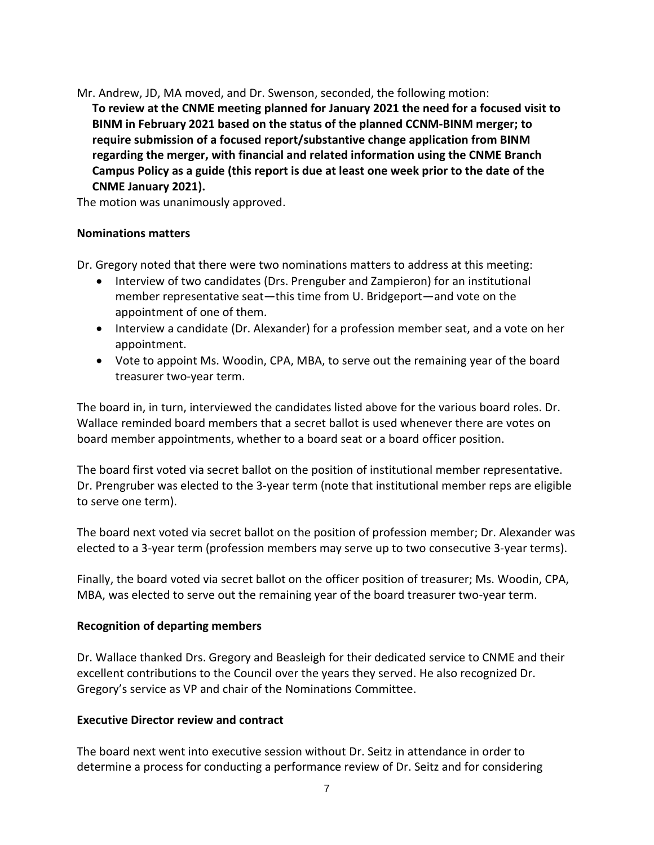Mr. Andrew, JD, MA moved, and Dr. Swenson, seconded, the following motion: **To review at the CNME meeting planned for January 2021 the need for a focused visit to BINM in February 2021 based on the status of the planned CCNM-BINM merger; to require submission of a focused report/substantive change application from BINM regarding the merger, with financial and related information using the CNME Branch Campus Policy as a guide (this report is due at least one week prior to the date of the CNME January 2021).**

The motion was unanimously approved.

#### **Nominations matters**

Dr. Gregory noted that there were two nominations matters to address at this meeting:

- Interview of two candidates (Drs. Prenguber and Zampieron) for an institutional member representative seat—this time from U. Bridgeport—and vote on the appointment of one of them.
- Interview a candidate (Dr. Alexander) for a profession member seat, and a vote on her appointment.
- Vote to appoint Ms. Woodin, CPA, MBA, to serve out the remaining year of the board treasurer two-year term.

The board in, in turn, interviewed the candidates listed above for the various board roles. Dr. Wallace reminded board members that a secret ballot is used whenever there are votes on board member appointments, whether to a board seat or a board officer position.

The board first voted via secret ballot on the position of institutional member representative. Dr. Prengruber was elected to the 3-year term (note that institutional member reps are eligible to serve one term).

The board next voted via secret ballot on the position of profession member; Dr. Alexander was elected to a 3-year term (profession members may serve up to two consecutive 3-year terms).

Finally, the board voted via secret ballot on the officer position of treasurer; Ms. Woodin, CPA, MBA, was elected to serve out the remaining year of the board treasurer two-year term.

#### **Recognition of departing members**

Dr. Wallace thanked Drs. Gregory and Beasleigh for their dedicated service to CNME and their excellent contributions to the Council over the years they served. He also recognized Dr. Gregory's service as VP and chair of the Nominations Committee.

#### **Executive Director review and contract**

The board next went into executive session without Dr. Seitz in attendance in order to determine a process for conducting a performance review of Dr. Seitz and for considering